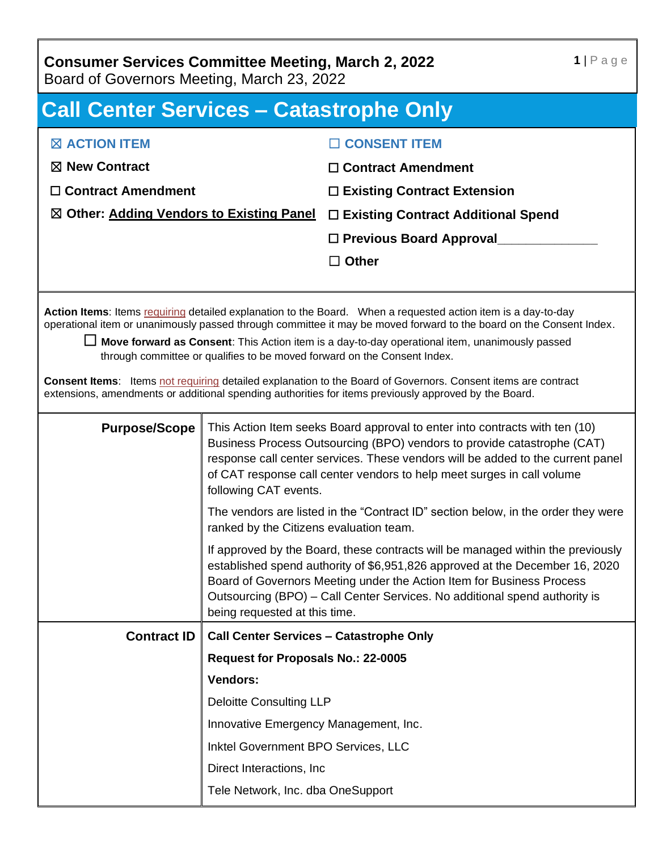### **Consumer Services Committee Meeting, March 2, 2022**

Board of Governors Meeting, March 23, 2022

## **Call Center Services – Catastrophe Only** ☒ **ACTION ITEM** ☒ **New Contract** ☐ **Contract Amendment** ☒ **Other: Adding Vendors to Existing Panel** ☐ **Existing Contract Additional Spend** ☐ **CONSENT ITEM** ☐ **Contract Amendment** ☐ **Existing Contract Extension** □ **Previous Board Approval** ☐ **Other Action Items**: Items requiring detailed explanation to the Board. When a requested action item is a day-to-day operational item or unanimously passed through committee it may be moved forward to the board on the Consent Index. □ **Move forward as Consent**: This Action item is a day-to-day operational item, unanimously passed through committee or qualifies to be moved forward on the Consent Index. **Consent Items**: Items not requiring detailed explanation to the Board of Governors. Consent items are contract extensions, amendments or additional spending authorities for items previously approved by the Board. **Purpose/Scope** This Action Item seeks Board approval to enter into contracts with ten (10) Business Process Outsourcing (BPO) vendors to provide catastrophe (CAT) response call center services. These vendors will be added to the current panel of CAT response call center vendors to help meet surges in call volume following CAT events. The vendors are listed in the "Contract ID" section below, in the order they were ranked by the Citizens evaluation team. If approved by the Board, these contracts will be managed within the previously established spend authority of \$6,951,826 approved at the December 16, 2020 Board of Governors Meeting under the Action Item for Business Process Outsourcing (BPO) – Call Center Services. No additional spend authority is being requested at this time. **Contract ID Call Center Services – Catastrophe Only Request for Proposals No.: 22-0005 Vendors:** Deloitte Consulting LLP Innovative Emergency Management, Inc. Inktel Government BPO Services, LLC Direct Interactions, Inc

Tele Network, Inc. dba OneSupport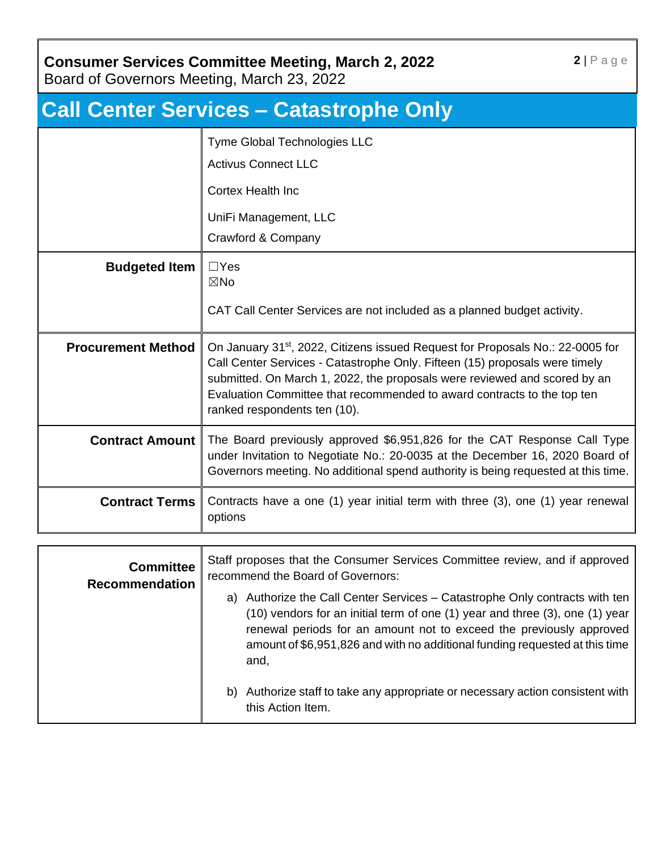#### **Consumer Services Committee Meeting, March 2, 2022**

Board of Governors Meeting, March 23, 2022

| <b>Call Center Services - Catastrophe Only</b> |                                                                                                                                                                                                                                                                                                                                                                   |  |
|------------------------------------------------|-------------------------------------------------------------------------------------------------------------------------------------------------------------------------------------------------------------------------------------------------------------------------------------------------------------------------------------------------------------------|--|
|                                                | Tyme Global Technologies LLC<br><b>Activus Connect LLC</b><br><b>Cortex Health Inc</b><br>UniFi Management, LLC                                                                                                                                                                                                                                                   |  |
|                                                | Crawford & Company                                                                                                                                                                                                                                                                                                                                                |  |
| <b>Budgeted Item</b>                           | $\Box$ Yes<br>$\boxtimes$ No<br>CAT Call Center Services are not included as a planned budget activity.                                                                                                                                                                                                                                                           |  |
| <b>Procurement Method</b>                      | On January 31 <sup>st</sup> , 2022, Citizens issued Request for Proposals No.: 22-0005 for<br>Call Center Services - Catastrophe Only. Fifteen (15) proposals were timely<br>submitted. On March 1, 2022, the proposals were reviewed and scored by an<br>Evaluation Committee that recommended to award contracts to the top ten<br>ranked respondents ten (10). |  |
| <b>Contract Amount</b>                         | The Board previously approved \$6,951,826 for the CAT Response Call Type<br>under Invitation to Negotiate No.: 20-0035 at the December 16, 2020 Board of<br>Governors meeting. No additional spend authority is being requested at this time.                                                                                                                     |  |
| <b>Contract Terms</b>                          | Contracts have a one (1) year initial term with three (3), one (1) year renewal<br>options                                                                                                                                                                                                                                                                        |  |

| <b>Committee</b><br><b>Recommendation</b> | Staff proposes that the Consumer Services Committee review, and if approved<br>recommend the Board of Governors:                                                                                                                                                                                                             |
|-------------------------------------------|------------------------------------------------------------------------------------------------------------------------------------------------------------------------------------------------------------------------------------------------------------------------------------------------------------------------------|
|                                           | Authorize the Call Center Services – Catastrophe Only contracts with ten<br>a)<br>(10) vendors for an initial term of one (1) year and three (3), one (1) year<br>renewal periods for an amount not to exceed the previously approved<br>amount of \$6,951,826 and with no additional funding requested at this time<br>and, |
|                                           | Authorize staff to take any appropriate or necessary action consistent with<br>b)<br>this Action Item.                                                                                                                                                                                                                       |

**2** | P a g e